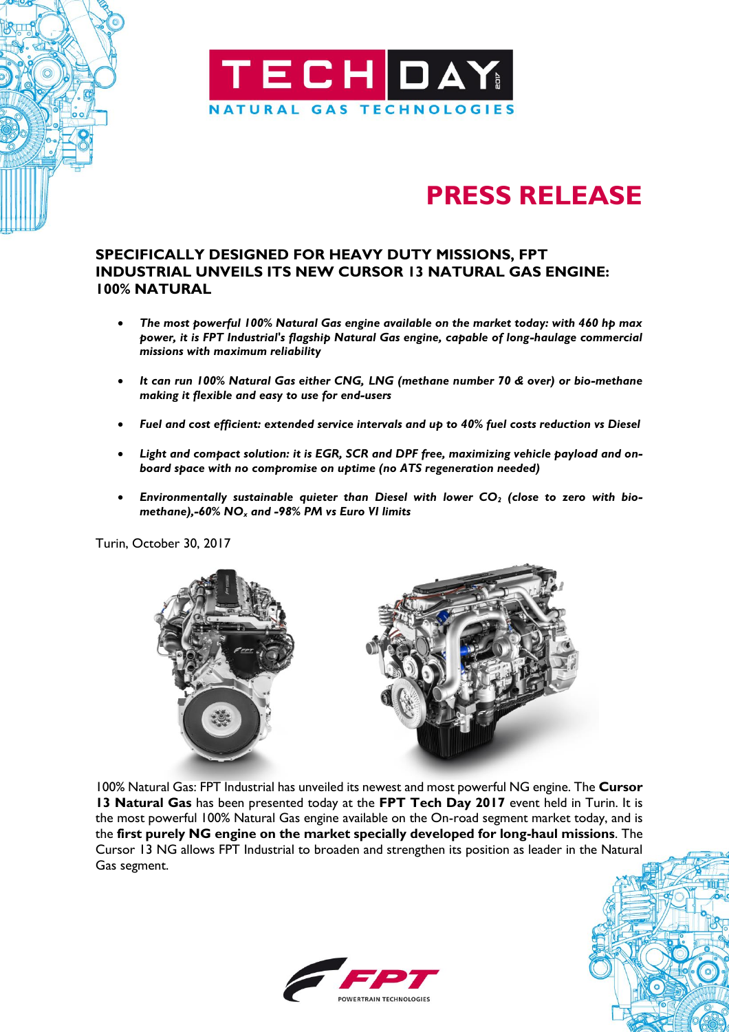

## **PRESS RELEASE**

## **SPECIFICALLY DESIGNED FOR HEAVY DUTY MISSIONS, FPT INDUSTRIAL UNVEILS ITS NEW CURSOR 13 NATURAL GAS ENGINE: 100% NATURAL**

- *The most powerful 100% Natural Gas engine available on the market today: with 460 hp max power, it is FPT Industrial's flagship Natural Gas engine, capable of long-haulage commercial missions with maximum reliability*
- *It can run 100% Natural Gas either CNG, LNG (methane number 70 & over) or bio-methane making it flexible and easy to use for end-users*
- *Fuel and cost efficient: extended service intervals and up to 40% fuel costs reduction vs Diesel*
- *Light and compact solution: it is EGR, SCR and DPF free, maximizing vehicle payload and onboard space with no compromise on uptime (no ATS regeneration needed)*
- *Environmentally sustainable quieter than Diesel with lower CO<sup>2</sup> (close to zero with biomethane),-60% NO<sup>x</sup> and -98% PM vs Euro VI limits*

Turin, October 30, 2017



100% Natural Gas: FPT Industrial has unveiled its newest and most powerful NG engine. The **Cursor 13 Natural Gas** has been presented today at the **FPT Tech Day 2017** event held in Turin. It is the most powerful 100% Natural Gas engine available on the On-road segment market today, and is the **first purely NG engine on the market specially developed for long-haul missions**. The Cursor 13 NG allows FPT Industrial to broaden and strengthen its position as leader in the Natural Gas segment.

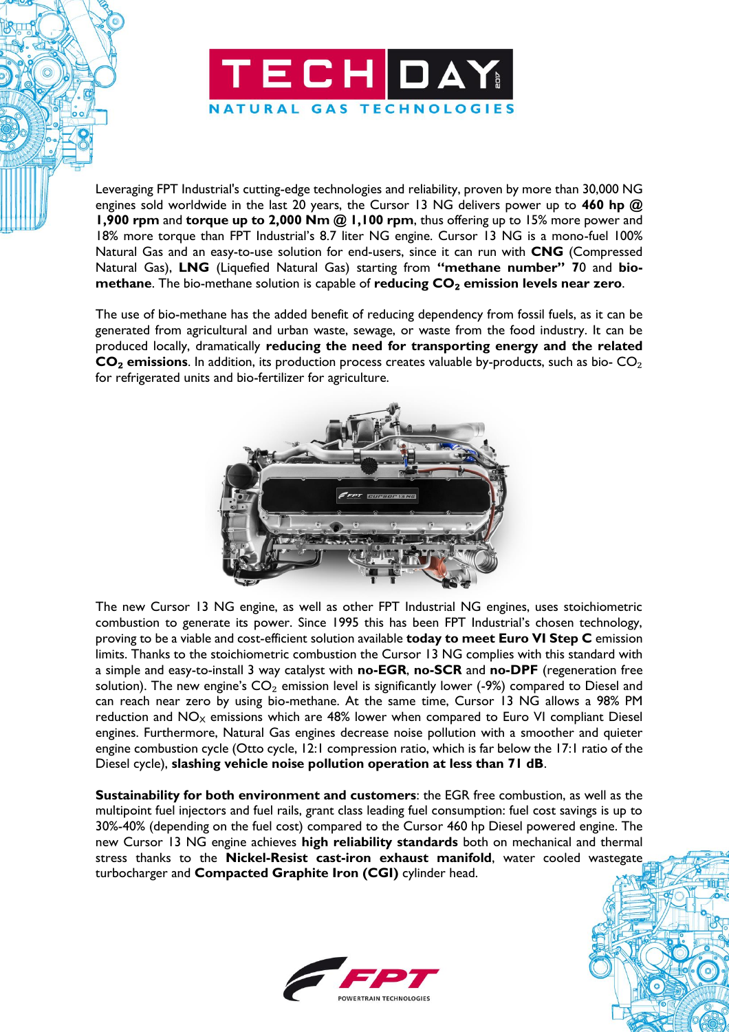

Leveraging FPT Industrial's cutting-edge technologies and reliability, proven by more than 30,000 NG engines sold worldwide in the last 20 years, the Cursor 13 NG delivers power up to **460 hp @ 1,900 rpm** and **torque up to 2,000 Nm @ 1,100 rpm**, thus offering up to 15% more power and 18% more torque than FPT Industrial's 8.7 liter NG engine. Cursor 13 NG is a mono-fuel 100% Natural Gas and an easy-to-use solution for end-users, since it can run with **CNG** (Compressed Natural Gas), **LNG** (Liquefied Natural Gas) starting from **"methane number" 7**0 and **biomethane**. The bio-methane solution is capable of **reducing CO**₂ **emission levels near zero**.

The use of bio-methane has the added benefit of reducing dependency from fossil fuels, as it can be generated from agricultural and urban waste, sewage, or waste from the food industry. It can be produced locally, dramatically **reducing the need for transporting energy and the related CO**₂ **emissions**. In addition, its production process creates valuable by-products, such as bio- CO₂ for refrigerated units and bio-fertilizer for agriculture.



The new Cursor 13 NG engine, as well as other FPT Industrial NG engines, uses stoichiometric combustion to generate its power. Since 1995 this has been FPT Industrial's chosen technology, proving to be a viable and cost-efficient solution available **today to meet Euro VI Step C** emission limits. Thanks to the stoichiometric combustion the Cursor 13 NG complies with this standard with a simple and easy-to-install 3 way catalyst with **no-EGR**, **no-SCR** and **no-DPF** (regeneration free solution). The new engine's  $CO<sub>2</sub>$  emission level is significantly lower (-9%) compared to Diesel and can reach near zero by using bio-methane. At the same time, Cursor 13 NG allows a 98% PM reduction and  $NO<sub>x</sub>$  emissions which are 48% lower when compared to Euro VI compliant Diesel engines. Furthermore, Natural Gas engines decrease noise pollution with a smoother and quieter engine combustion cycle (Otto cycle, 12:1 compression ratio, which is far below the 17:1 ratio of the Diesel cycle), **slashing vehicle noise pollution operation at less than 71 dB**.

**Sustainability for both environment and customers**: the EGR free combustion, as well as the multipoint fuel injectors and fuel rails, grant class leading fuel consumption: fuel cost savings is up to 30%-40% (depending on the fuel cost) compared to the Cursor 460 hp Diesel powered engine. The new Cursor 13 NG engine achieves **high reliability standards** both on mechanical and thermal stress thanks to the **Nickel-Resist cast-iron exhaust manifold**, water cooled wastegate turbocharger and **Compacted Graphite Iron (CGI)** cylinder head.